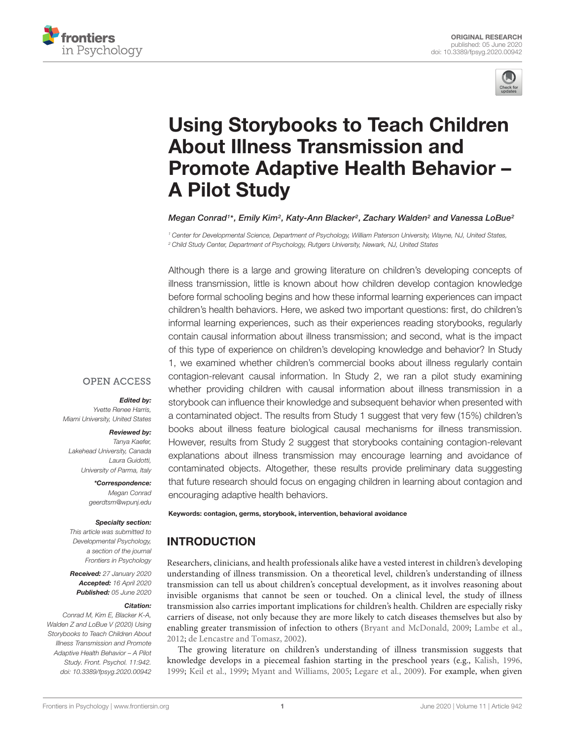



# Using Storybooks to Teach Children About Illness Transmission and [Promote Adaptive Health Behavior –](https://www.frontiersin.org/articles/10.3389/fpsyg.2020.00942/full) A Pilot Study

[Megan Conrad](http://loop.frontiersin.org/people/124710/overview)1\*, Emily Kim², Katy-Ann Blacker², Zachary Walden² and [Vanessa LoBue](http://loop.frontiersin.org/people/10661/overview)'

<sup>1</sup> Center for Developmental Science, Department of Psychology, William Paterson University, Wayne, NJ, United States, <sup>2</sup> Child Study Center, Department of Psychology, Rutgers University, Newark, NJ, United States

Although there is a large and growing literature on children's developing concepts of illness transmission, little is known about how children develop contagion knowledge before formal schooling begins and how these informal learning experiences can impact children's health behaviors. Here, we asked two important questions: first, do children's informal learning experiences, such as their experiences reading storybooks, regularly contain causal information about illness transmission; and second, what is the impact of this type of experience on children's developing knowledge and behavior? In Study 1, we examined whether children's commercial books about illness regularly contain contagion-relevant causal information. In Study 2, we ran a pilot study examining whether providing children with causal information about illness transmission in a storybook can influence their knowledge and subsequent behavior when presented with a contaminated object. The results from Study 1 suggest that very few (15%) children's books about illness feature biological causal mechanisms for illness transmission. However, results from Study 2 suggest that storybooks containing contagion-relevant explanations about illness transmission may encourage learning and avoidance of contaminated objects. Altogether, these results provide preliminary data suggesting that future research should focus on engaging children in learning about contagion and encouraging adaptive health behaviors.

### **OPEN ACCESS**

#### Edited by:

Yvette Renee Harris, Miami University, United States

#### Reviewed by:

Tanya Kaefer, Lakehead University, Canada Laura Guidotti, University of Parma, Italy

> \*Correspondence: Megan Conrad geerdtsm@wpunj.edu

### Specialty section:

This article was submitted to Developmental Psychology, a section of the journal Frontiers in Psychology

Received: 27 January 2020 Accepted: 16 April 2020 Published: 05 June 2020

### Citation:

Conrad M, Kim E, Blacker K-A, Walden Z and LoBue V (2020) Using Storybooks to Teach Children About Illness Transmission and Promote Adaptive Health Behavior – A Pilot Study. Front. Psychol. 11:942. doi: [10.3389/fpsyg.2020.00942](https://doi.org/10.3389/fpsyg.2020.00942) Keywords: contagion, germs, storybook, intervention, behavioral avoidance

# **INTRODUCTION**

Researchers, clinicians, and health professionals alike have a vested interest in children's developing understanding of illness transmission. On a theoretical level, children's understanding of illness transmission can tell us about children's conceptual development, as it involves reasoning about invisible organisms that cannot be seen or touched. On a clinical level, the study of illness transmission also carries important implications for children's health. Children are especially risky carriers of disease, not only because they are more likely to catch diseases themselves but also by enabling greater transmission of infection to others [\(Bryant and McDonald,](#page-10-0) [2009;](#page-10-0) [Lambe et al.,](#page-10-1) [2012;](#page-10-1) [de Lencastre and Tomasz,](#page-10-2) [2002\)](#page-10-2).

The growing literature on children's understanding of illness transmission suggests that knowledge develops in a piecemeal fashion starting in the preschool years (e.g., [Kalish,](#page-10-3) [1996,](#page-10-3) [1999;](#page-10-4) [Keil et al.,](#page-10-5) [1999;](#page-10-5) [Myant and Williams,](#page-10-6) [2005;](#page-10-6) [Legare et al.,](#page-10-7) [2009\)](#page-10-7). For example, when given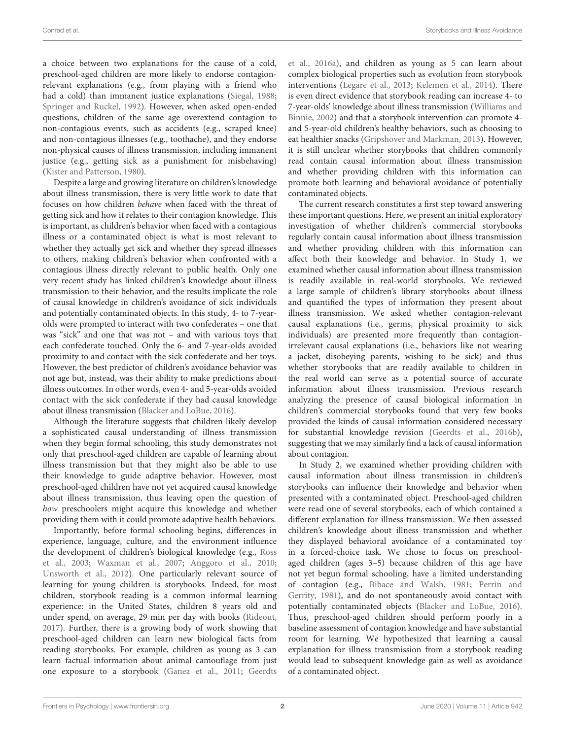a choice between two explanations for the cause of a cold, preschool-aged children are more likely to endorse contagionrelevant explanations (e.g., from playing with a friend who had a cold) than immanent justice explanations [\(Siegal,](#page-10-8) [1988;](#page-10-8) [Springer and Ruckel,](#page-10-9) [1992\)](#page-10-9). However, when asked open-ended questions, children of the same age overextend contagion to non-contagious events, such as accidents (e.g., scraped knee) and non-contagious illnesses (e.g., toothache), and they endorse non-physical causes of illness transmission, including immanent justice (e.g., getting sick as a punishment for misbehaving) [\(Kister and Patterson,](#page-10-10) [1980\)](#page-10-10).

Despite a large and growing literature on children's knowledge about illness transmission, there is very little work to date that focuses on how children behave when faced with the threat of getting sick and how it relates to their contagion knowledge. This is important, as children's behavior when faced with a contagious illness or a contaminated object is what is most relevant to whether they actually get sick and whether they spread illnesses to others, making children's behavior when confronted with a contagious illness directly relevant to public health. Only one very recent study has linked children's knowledge about illness transmission to their behavior, and the results implicate the role of causal knowledge in children's avoidance of sick individuals and potentially contaminated objects. In this study, 4- to 7-yearolds were prompted to interact with two confederates – one that was "sick" and one that was not – and with various toys that each confederate touched. Only the 6- and 7-year-olds avoided proximity to and contact with the sick confederate and her toys. However, the best predictor of children's avoidance behavior was not age but, instead, was their ability to make predictions about illness outcomes. In other words, even 4- and 5-year-olds avoided contact with the sick confederate if they had causal knowledge about illness transmission [\(Blacker and LoBue,](#page-10-11) [2016\)](#page-10-11).

Although the literature suggests that children likely develop a sophisticated causal understanding of illness transmission when they begin formal schooling, this study demonstrates not only that preschool-aged children are capable of learning about illness transmission but that they might also be able to use their knowledge to guide adaptive behavior. However, most preschool-aged children have not yet acquired causal knowledge about illness transmission, thus leaving open the question of how preschoolers might acquire this knowledge and whether providing them with it could promote adaptive health behaviors.

Importantly, before formal schooling begins, differences in experience, language, culture, and the environment influence the development of children's biological knowledge (e.g., [Ross](#page-10-12) [et al.,](#page-10-12) [2003;](#page-10-12) [Waxman et al.,](#page-11-0) [2007;](#page-11-0) [Anggoro et al.,](#page-10-13) [2010;](#page-10-13) [Unsworth et al.,](#page-11-1) [2012\)](#page-11-1). One particularly relevant source of learning for young children is storybooks. Indeed, for most children, storybook reading is a common informal learning experience: in the United States, children 8 years old and under spend, on average, 29 min per day with books [\(Rideout,](#page-10-14) [2017\)](#page-10-14). Further, there is a growing body of work showing that preschool-aged children can learn new biological facts from reading storybooks. For example, children as young as 3 can learn factual information about animal camouflage from just one exposure to a storybook [\(Ganea et al.,](#page-10-15) [2011;](#page-10-15) [Geerdts](#page-10-16) [et al.,](#page-10-16) [2016a\)](#page-10-16), and children as young as 5 can learn about complex biological properties such as evolution from storybook interventions [\(Legare et al.,](#page-10-17) [2013;](#page-10-17) [Kelemen et al.,](#page-10-18) [2014\)](#page-10-18). There is even direct evidence that storybook reading can increase 4- to 7-year-olds' knowledge about illness transmission [\(Williams and](#page-11-2) [Binnie,](#page-11-2) [2002\)](#page-11-2) and that a storybook intervention can promote 4 and 5-year-old children's healthy behaviors, such as choosing to eat healthier snacks [\(Gripshover and Markman,](#page-10-19) [2013\)](#page-10-19). However, it is still unclear whether storybooks that children commonly read contain causal information about illness transmission and whether providing children with this information can promote both learning and behavioral avoidance of potentially contaminated objects.

The current research constitutes a first step toward answering these important questions. Here, we present an initial exploratory investigation of whether children's commercial storybooks regularly contain causal information about illness transmission and whether providing children with this information can affect both their knowledge and behavior. In Study 1, we examined whether causal information about illness transmission is readily available in real-world storybooks. We reviewed a large sample of children's library storybooks about illness and quantified the types of information they present about illness transmission. We asked whether contagion-relevant causal explanations (i.e., germs, physical proximity to sick individuals) are presented more frequently than contagionirrelevant causal explanations (i.e., behaviors like not wearing a jacket, disobeying parents, wishing to be sick) and thus whether storybooks that are readily available to children in the real world can serve as a potential source of accurate information about illness transmission. Previous research analyzing the presence of causal biological information in children's commercial storybooks found that very few books provided the kinds of causal information considered necessary for substantial knowledge revision [\(Geerdts et al.,](#page-10-20) [2016b\)](#page-10-20), suggesting that we may similarly find a lack of causal information about contagion.

In Study 2, we examined whether providing children with causal information about illness transmission in children's storybooks can influence their knowledge and behavior when presented with a contaminated object. Preschool-aged children were read one of several storybooks, each of which contained a different explanation for illness transmission. We then assessed children's knowledge about illness transmission and whether they displayed behavioral avoidance of a contaminated toy in a forced-choice task. We chose to focus on preschoolaged children (ages 3–5) because children of this age have not yet begun formal schooling, have a limited understanding of contagion (e.g., [Bibace and Walsh,](#page-10-21) [1981;](#page-10-21) [Perrin and](#page-10-22) [Gerrity,](#page-10-22) [1981\)](#page-10-22), and do not spontaneously avoid contact with potentially contaminated objects [\(Blacker and LoBue,](#page-10-11) [2016\)](#page-10-11). Thus, preschool-aged children should perform poorly in a baseline assessment of contagion knowledge and have substantial room for learning. We hypothesized that learning a causal explanation for illness transmission from a storybook reading would lead to subsequent knowledge gain as well as avoidance of a contaminated object.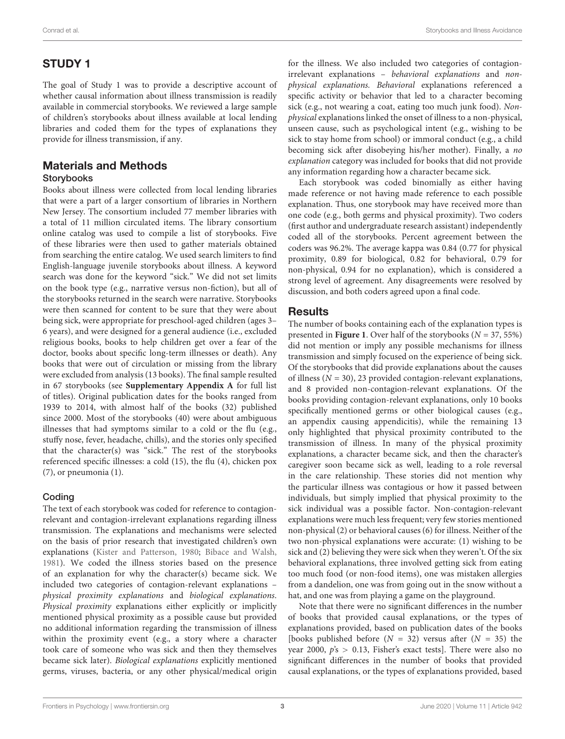# STUDY 1

The goal of Study 1 was to provide a descriptive account of whether causal information about illness transmission is readily available in commercial storybooks. We reviewed a large sample of children's storybooks about illness available at local lending libraries and coded them for the types of explanations they provide for illness transmission, if any.

### Materials and Methods Storybooks

Books about illness were collected from local lending libraries that were a part of a larger consortium of libraries in Northern New Jersey. The consortium included 77 member libraries with a total of 11 million circulated items. The library consortium online catalog was used to compile a list of storybooks. Five of these libraries were then used to gather materials obtained from searching the entire catalog. We used search limiters to find English-language juvenile storybooks about illness. A keyword search was done for the keyword "sick." We did not set limits on the book type (e.g., narrative versus non-fiction), but all of the storybooks returned in the search were narrative. Storybooks were then scanned for content to be sure that they were about being sick, were appropriate for preschool-aged children (ages 3– 6 years), and were designed for a general audience (i.e., excluded religious books, books to help children get over a fear of the doctor, books about specific long-term illnesses or death). Any books that were out of circulation or missing from the library were excluded from analysis (13 books). The final sample resulted in 67 storybooks (see **[Supplementary Appendix A](#page-10-23)** for full list of titles). Original publication dates for the books ranged from 1939 to 2014, with almost half of the books (32) published since 2000. Most of the storybooks (40) were about ambiguous illnesses that had symptoms similar to a cold or the flu (e.g., stuffy nose, fever, headache, chills), and the stories only specified that the character(s) was "sick." The rest of the storybooks referenced specific illnesses: a cold (15), the flu (4), chicken pox (7), or pneumonia (1).

### Coding

The text of each storybook was coded for reference to contagionrelevant and contagion-irrelevant explanations regarding illness transmission. The explanations and mechanisms were selected on the basis of prior research that investigated children's own explanations [\(Kister and Patterson,](#page-10-10) [1980;](#page-10-10) [Bibace and Walsh,](#page-10-21) [1981\)](#page-10-21). We coded the illness stories based on the presence of an explanation for why the character(s) became sick. We included two categories of contagion-relevant explanations – physical proximity explanations and biological explanations. Physical proximity explanations either explicitly or implicitly mentioned physical proximity as a possible cause but provided no additional information regarding the transmission of illness within the proximity event (e.g., a story where a character took care of someone who was sick and then they themselves became sick later). Biological explanations explicitly mentioned germs, viruses, bacteria, or any other physical/medical origin

for the illness. We also included two categories of contagionirrelevant explanations – behavioral explanations and nonphysical explanations. Behavioral explanations referenced a specific activity or behavior that led to a character becoming sick (e.g., not wearing a coat, eating too much junk food). Nonphysical explanations linked the onset of illness to a non-physical, unseen cause, such as psychological intent (e.g., wishing to be sick to stay home from school) or immoral conduct (e.g., a child becoming sick after disobeying his/her mother). Finally, a no explanation category was included for books that did not provide any information regarding how a character became sick.

Each storybook was coded binomially as either having made reference or not having made reference to each possible explanation. Thus, one storybook may have received more than one code (e.g., both germs and physical proximity). Two coders (first author and undergraduate research assistant) independently coded all of the storybooks. Percent agreement between the coders was 96.2%. The average kappa was 0.84 (0.77 for physical proximity, 0.89 for biological, 0.82 for behavioral, 0.79 for non-physical, 0.94 for no explanation), which is considered a strong level of agreement. Any disagreements were resolved by discussion, and both coders agreed upon a final code.

# **Results**

The number of books containing each of the explanation types is presented in **[Figure 1](#page-3-0)**. Over half of the storybooks ( $N = 37, 55\%$ ) did not mention or imply any possible mechanisms for illness transmission and simply focused on the experience of being sick. Of the storybooks that did provide explanations about the causes of illness ( $N = 30$ ), 23 provided contagion-relevant explanations, and 8 provided non-contagion-relevant explanations. Of the books providing contagion-relevant explanations, only 10 books specifically mentioned germs or other biological causes (e.g., an appendix causing appendicitis), while the remaining 13 only highlighted that physical proximity contributed to the transmission of illness. In many of the physical proximity explanations, a character became sick, and then the character's caregiver soon became sick as well, leading to a role reversal in the care relationship. These stories did not mention why the particular illness was contagious or how it passed between individuals, but simply implied that physical proximity to the sick individual was a possible factor. Non-contagion-relevant explanations were much less frequent; very few stories mentioned non-physical (2) or behavioral causes (6) for illness. Neither of the two non-physical explanations were accurate: (1) wishing to be sick and (2) believing they were sick when they weren't. Of the six behavioral explanations, three involved getting sick from eating too much food (or non-food items), one was mistaken allergies from a dandelion, one was from going out in the snow without a hat, and one was from playing a game on the playground.

Note that there were no significant differences in the number of books that provided causal explanations, or the types of explanations provided, based on publication dates of the books [books published before  $(N = 32)$  versus after  $(N = 35)$  the year 2000,  $p's > 0.13$ , Fisher's exact tests]. There were also no significant differences in the number of books that provided causal explanations, or the types of explanations provided, based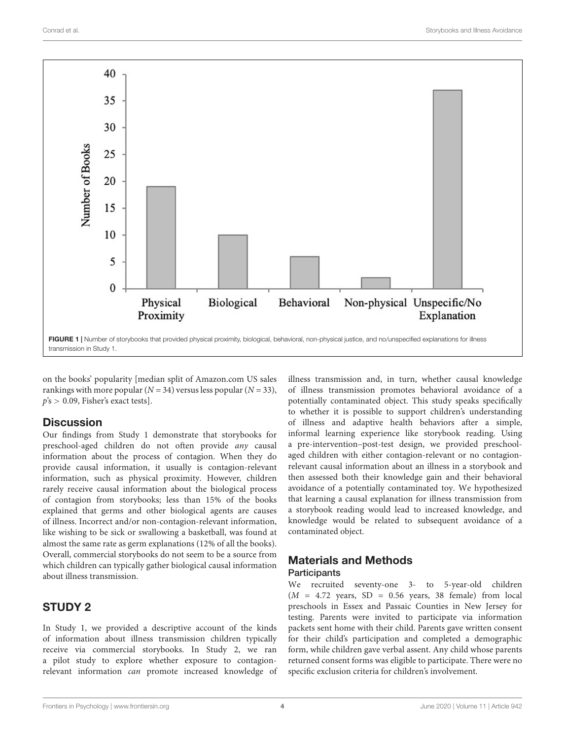

<span id="page-3-0"></span>on the books' popularity [median split of [Amazon.com](https://www.amazon.com/) US sales rankings with more popular ( $N = 34$ ) versus less popular ( $N = 33$ ),  $p's > 0.09$ , Fisher's exact tests].

### **Discussion**

Our findings from Study 1 demonstrate that storybooks for preschool-aged children do not often provide any causal information about the process of contagion. When they do provide causal information, it usually is contagion-relevant information, such as physical proximity. However, children rarely receive causal information about the biological process of contagion from storybooks; less than 15% of the books explained that germs and other biological agents are causes of illness. Incorrect and/or non-contagion-relevant information, like wishing to be sick or swallowing a basketball, was found at almost the same rate as germ explanations (12% of all the books). Overall, commercial storybooks do not seem to be a source from which children can typically gather biological causal information about illness transmission.

# STUDY 2

In Study 1, we provided a descriptive account of the kinds of information about illness transmission children typically receive via commercial storybooks. In Study 2, we ran a pilot study to explore whether exposure to contagionrelevant information can promote increased knowledge of illness transmission and, in turn, whether causal knowledge of illness transmission promotes behavioral avoidance of a potentially contaminated object. This study speaks specifically to whether it is possible to support children's understanding of illness and adaptive health behaviors after a simple, informal learning experience like storybook reading. Using a pre-intervention–post-test design, we provided preschoolaged children with either contagion-relevant or no contagionrelevant causal information about an illness in a storybook and then assessed both their knowledge gain and their behavioral avoidance of a potentially contaminated toy. We hypothesized that learning a causal explanation for illness transmission from a storybook reading would lead to increased knowledge, and knowledge would be related to subsequent avoidance of a contaminated object.

# Materials and Methods **Participants**

We recruited seventy-one 3- to 5-year-old children  $(M = 4.72$  years, SD = 0.56 years, 38 female) from local preschools in Essex and Passaic Counties in New Jersey for testing. Parents were invited to participate via information packets sent home with their child. Parents gave written consent for their child's participation and completed a demographic form, while children gave verbal assent. Any child whose parents returned consent forms was eligible to participate. There were no specific exclusion criteria for children's involvement.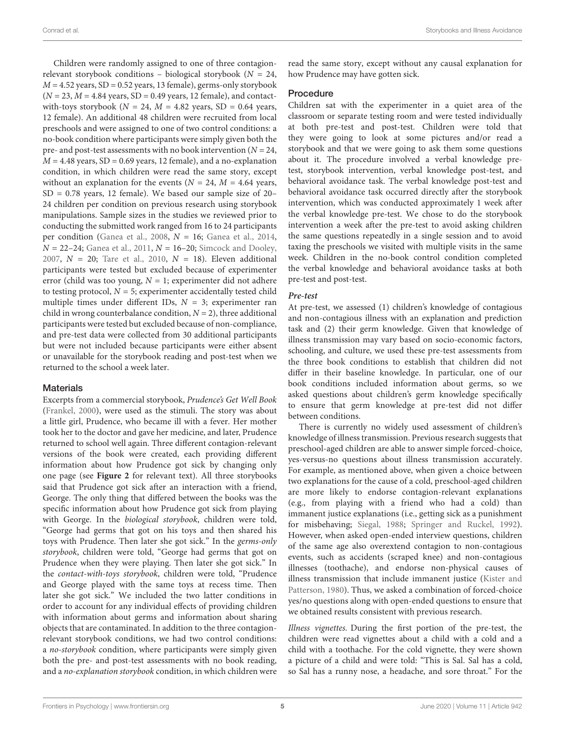Children were randomly assigned to one of three contagionrelevant storybook conditions – biological storybook ( $N = 24$ ,  $M = 4.52$  years, SD = 0.52 years, 13 female), germs-only storybook  $(N = 23, M = 4.84$  years, SD = 0.49 years, 12 female), and contactwith-toys storybook ( $N = 24$ ,  $M = 4.82$  years, SD = 0.64 years, 12 female). An additional 48 children were recruited from local preschools and were assigned to one of two control conditions: a no-book condition where participants were simply given both the pre- and post-test assessments with no book intervention ( $N = 24$ ,  $M = 4.48$  years, SD = 0.69 years, 12 female), and a no-explanation condition, in which children were read the same story, except without an explanation for the events ( $N = 24$ ,  $M = 4.64$  years, SD = 0.78 years, 12 female). We based our sample size of 20– 24 children per condition on previous research using storybook manipulations. Sample sizes in the studies we reviewed prior to conducting the submitted work ranged from 16 to 24 participants per condition [\(Ganea et al.,](#page-10-24) [2008,](#page-10-24)  $N = 16$ ; [Ganea et al.,](#page-10-25) [2014,](#page-10-25)  $N = 22-24$ ; [Ganea et al.,](#page-10-15) [2011,](#page-10-15)  $N = 16-20$ ; [Simcock and Dooley,](#page-10-26) [2007,](#page-10-26)  $N = 20$ ; [Tare et al.,](#page-10-27) [2010,](#page-10-27)  $N = 18$ ). Eleven additional participants were tested but excluded because of experimenter error (child was too young,  $N = 1$ ; experimenter did not adhere to testing protocol,  $N = 5$ ; experimenter accidentally tested child multiple times under different IDs,  $N = 3$ ; experimenter ran child in wrong counterbalance condition,  $N = 2$ ), three additional participants were tested but excluded because of non-compliance, and pre-test data were collected from 30 additional participants but were not included because participants were either absent or unavailable for the storybook reading and post-test when we returned to the school a week later.

### **Materials**

Excerpts from a commercial storybook, Prudence's Get Well Book [\(Frankel,](#page-10-28) [2000\)](#page-10-28), were used as the stimuli. The story was about a little girl, Prudence, who became ill with a fever. Her mother took her to the doctor and gave her medicine, and later, Prudence returned to school well again. Three different contagion-relevant versions of the book were created, each providing different information about how Prudence got sick by changing only one page (see **[Figure 2](#page-5-0)** for relevant text). All three storybooks said that Prudence got sick after an interaction with a friend, George. The only thing that differed between the books was the specific information about how Prudence got sick from playing with George. In the biological storybook, children were told, "George had germs that got on his toys and then shared his toys with Prudence. Then later she got sick." In the germs-only storybook, children were told, "George had germs that got on Prudence when they were playing. Then later she got sick." In the contact-with-toys storybook, children were told, "Prudence and George played with the same toys at recess time. Then later she got sick." We included the two latter conditions in order to account for any individual effects of providing children with information about germs and information about sharing objects that are contaminated. In addition to the three contagionrelevant storybook conditions, we had two control conditions: a no-storybook condition, where participants were simply given both the pre- and post-test assessments with no book reading, and a no-explanation storybook condition, in which children were read the same story, except without any causal explanation for how Prudence may have gotten sick.

### Procedure

Children sat with the experimenter in a quiet area of the classroom or separate testing room and were tested individually at both pre-test and post-test. Children were told that they were going to look at some pictures and/or read a storybook and that we were going to ask them some questions about it. The procedure involved a verbal knowledge pretest, storybook intervention, verbal knowledge post-test, and behavioral avoidance task. The verbal knowledge post-test and behavioral avoidance task occurred directly after the storybook intervention, which was conducted approximately 1 week after the verbal knowledge pre-test. We chose to do the storybook intervention a week after the pre-test to avoid asking children the same questions repeatedly in a single session and to avoid taxing the preschools we visited with multiple visits in the same week. Children in the no-book control condition completed the verbal knowledge and behavioral avoidance tasks at both pre-test and post-test.

### **Pre-test**

At pre-test, we assessed (1) children's knowledge of contagious and non-contagious illness with an explanation and prediction task and (2) their germ knowledge. Given that knowledge of illness transmission may vary based on socio-economic factors, schooling, and culture, we used these pre-test assessments from the three book conditions to establish that children did not differ in their baseline knowledge. In particular, one of our book conditions included information about germs, so we asked questions about children's germ knowledge specifically to ensure that germ knowledge at pre-test did not differ between conditions.

There is currently no widely used assessment of children's knowledge of illness transmission. Previous research suggests that preschool-aged children are able to answer simple forced-choice, yes-versus-no questions about illness transmission accurately. For example, as mentioned above, when given a choice between two explanations for the cause of a cold, preschool-aged children are more likely to endorse contagion-relevant explanations (e.g., from playing with a friend who had a cold) than immanent justice explanations (i.e., getting sick as a punishment for misbehaving; [Siegal,](#page-10-8) [1988;](#page-10-8) [Springer and Ruckel,](#page-10-9) [1992\)](#page-10-9). However, when asked open-ended interview questions, children of the same age also overextend contagion to non-contagious events, such as accidents (scraped knee) and non-contagious illnesses (toothache), and endorse non-physical causes of illness transmission that include immanent justice [\(Kister and](#page-10-10) [Patterson,](#page-10-10) [1980\)](#page-10-10). Thus, we asked a combination of forced-choice yes/no questions along with open-ended questions to ensure that we obtained results consistent with previous research.

Illness vignettes. During the first portion of the pre-test, the children were read vignettes about a child with a cold and a child with a toothache. For the cold vignette, they were shown a picture of a child and were told: "This is Sal. Sal has a cold, so Sal has a runny nose, a headache, and sore throat." For the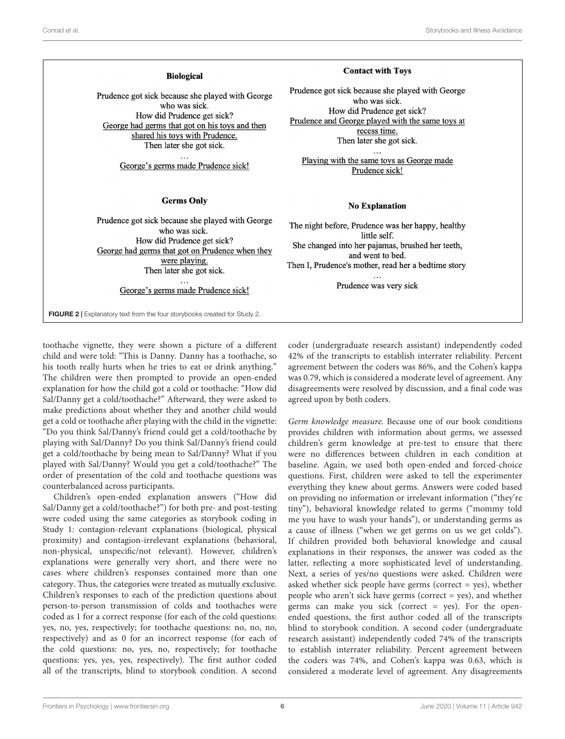#### **Biological**

Prudence got sick because she played with George who was sick. How did Prudence get sick? George had germs that got on his toys and then shared his toys with Prudence. Then later she got sick.

George's germs made Prudence sick!

#### **Germs Only**

Prudence got sick because she played with George who was sick. How did Prudence get sick? George had germs that got on Prudence when they were playing. Then later she got sick.

> $\ddotsc$ George's germs made Prudence sick!

<span id="page-5-0"></span>FIGURE 2 | Explanatory text from the four storybooks created for Study 2.

toothache vignette, they were shown a picture of a different child and were told: "This is Danny. Danny has a toothache, so his tooth really hurts when he tries to eat or drink anything." The children were then prompted to provide an open-ended explanation for how the child got a cold or toothache: "How did Sal/Danny get a cold/toothache?" Afterward, they were asked to make predictions about whether they and another child would get a cold or toothache after playing with the child in the vignette: "Do you think Sal/Danny's friend could get a cold/toothache by playing with Sal/Danny? Do you think Sal/Danny's friend could get a cold/toothache by being mean to Sal/Danny? What if you played with Sal/Danny? Would you get a cold/toothache?" The order of presentation of the cold and toothache questions was counterbalanced across participants.

Children's open-ended explanation answers ("How did Sal/Danny get a cold/toothache?") for both pre- and post-testing were coded using the same categories as storybook coding in Study 1: contagion-relevant explanations (biological, physical proximity) and contagion-irrelevant explanations (behavioral, non-physical, unspecific/not relevant). However, children's explanations were generally very short, and there were no cases where children's responses contained more than one category. Thus, the categories were treated as mutually exclusive. Children's responses to each of the prediction questions about person-to-person transmission of colds and toothaches were coded as 1 for a correct response (for each of the cold questions: yes, no, yes, respectively; for toothache questions: no, no, no, respectively) and as 0 for an incorrect response (for each of the cold questions: no, yes, no, respectively; for toothache questions: yes, yes, yes, respectively). The first author coded all of the transcripts, blind to storybook condition. A second

#### **Contact with Toys**

Prudence got sick because she played with George who was sick. How did Prudence get sick? Prudence and George played with the same toys at recess time. Then later she got sick.

Playing with the same toys as George made Prudence sick!

#### **No Explanation**

The night before, Prudence was her happy, healthy little self. She changed into her pajamas, brushed her teeth, and went to bed. Then I, Prudence's mother, read her a bedtime story.

Prudence was very sick

coder (undergraduate research assistant) independently coded 42% of the transcripts to establish interrater reliability. Percent agreement between the coders was 86%, and the Cohen's kappa was 0.79, which is considered a moderate level of agreement. Any disagreements were resolved by discussion, and a final code was agreed upon by both coders.

Germ knowledge measure. Because one of our book conditions provides children with information about germs, we assessed children's germ knowledge at pre-test to ensure that there were no differences between children in each condition at baseline. Again, we used both open-ended and forced-choice questions. First, children were asked to tell the experimenter everything they knew about germs. Answers were coded based on providing no information or irrelevant information ("they're tiny"), behavioral knowledge related to germs ("mommy told me you have to wash your hands"), or understanding germs as a cause of illness ("when we get germs on us we get colds"). If children provided both behavioral knowledge and causal explanations in their responses, the answer was coded as the latter, reflecting a more sophisticated level of understanding. Next, a series of yes/no questions were asked. Children were asked whether sick people have germs (correct = yes), whether people who aren't sick have germs (correct = yes), and whether germs can make you sick (correct  $=$  yes). For the openended questions, the first author coded all of the transcripts blind to storybook condition. A second coder (undergraduate research assistant) independently coded 74% of the transcripts to establish interrater reliability. Percent agreement between the coders was 74%, and Cohen's kappa was 0.63, which is considered a moderate level of agreement. Any disagreements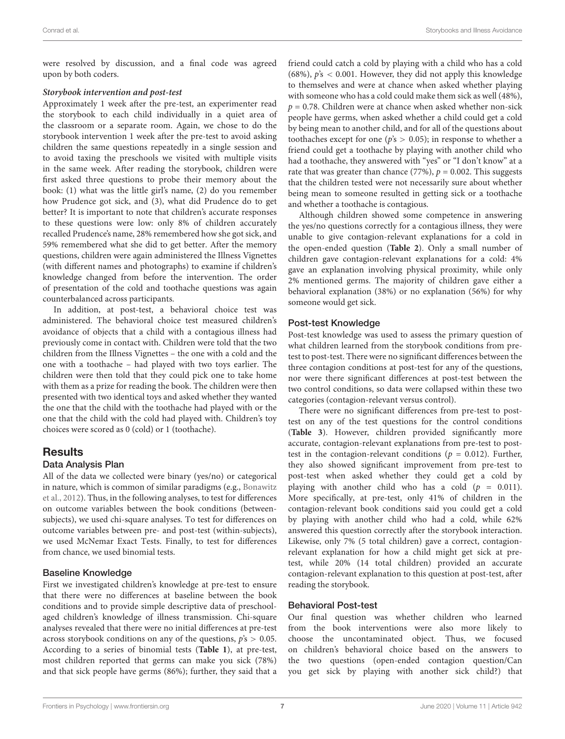were resolved by discussion, and a final code was agreed upon by both coders.

### **Storybook intervention and post-test**

Approximately 1 week after the pre-test, an experimenter read the storybook to each child individually in a quiet area of the classroom or a separate room. Again, we chose to do the storybook intervention 1 week after the pre-test to avoid asking children the same questions repeatedly in a single session and to avoid taxing the preschools we visited with multiple visits in the same week. After reading the storybook, children were first asked three questions to probe their memory about the book: (1) what was the little girl's name, (2) do you remember how Prudence got sick, and (3), what did Prudence do to get better? It is important to note that children's accurate responses to these questions were low: only 8% of children accurately recalled Prudence's name, 28% remembered how she got sick, and 59% remembered what she did to get better. After the memory questions, children were again administered the Illness Vignettes (with different names and photographs) to examine if children's knowledge changed from before the intervention. The order of presentation of the cold and toothache questions was again counterbalanced across participants.

In addition, at post-test, a behavioral choice test was administered. The behavioral choice test measured children's avoidance of objects that a child with a contagious illness had previously come in contact with. Children were told that the two children from the Illness Vignettes – the one with a cold and the one with a toothache – had played with two toys earlier. The children were then told that they could pick one to take home with them as a prize for reading the book. The children were then presented with two identical toys and asked whether they wanted the one that the child with the toothache had played with or the one that the child with the cold had played with. Children's toy choices were scored as 0 (cold) or 1 (toothache).

# Results

### Data Analysis Plan

All of the data we collected were binary (yes/no) or categorical in nature, which is common of similar paradigms (e.g., [Bonawitz](#page-10-29) [et al.,](#page-10-29) [2012\)](#page-10-29). Thus, in the following analyses, to test for differences on outcome variables between the book conditions (betweensubjects), we used chi-square analyses. To test for differences on outcome variables between pre- and post-test (within-subjects), we used McNemar Exact Tests. Finally, to test for differences from chance, we used binomial tests.

### Baseline Knowledge

First we investigated children's knowledge at pre-test to ensure that there were no differences at baseline between the book conditions and to provide simple descriptive data of preschoolaged children's knowledge of illness transmission. Chi-square analyses revealed that there were no initial differences at pre-test across storybook conditions on any of the questions,  $p's > 0.05$ . According to a series of binomial tests (**[Table 1](#page-7-0)**), at pre-test, most children reported that germs can make you sick (78%) and that sick people have germs (86%); further, they said that a

friend could catch a cold by playing with a child who has a cold (68%),  $\dot{p}$ 's < 0.001. However, they did not apply this knowledge to themselves and were at chance when asked whether playing with someone who has a cold could make them sick as well (48%),  $p = 0.78$ . Children were at chance when asked whether non-sick people have germs, when asked whether a child could get a cold by being mean to another child, and for all of the questions about toothaches except for one ( $p's > 0.05$ ); in response to whether a friend could get a toothache by playing with another child who had a toothache, they answered with "yes" or "I don't know" at a rate that was greater than chance (77%),  $p = 0.002$ . This suggests that the children tested were not necessarily sure about whether being mean to someone resulted in getting sick or a toothache and whether a toothache is contagious.

Although children showed some competence in answering the yes/no questions correctly for a contagious illness, they were unable to give contagion-relevant explanations for a cold in the open-ended question (**[Table 2](#page-7-1)**). Only a small number of children gave contagion-relevant explanations for a cold: 4% gave an explanation involving physical proximity, while only 2% mentioned germs. The majority of children gave either a behavioral explanation (38%) or no explanation (56%) for why someone would get sick.

### Post-test Knowledge

Post-test knowledge was used to assess the primary question of what children learned from the storybook conditions from pretest to post-test. There were no significant differences between the three contagion conditions at post-test for any of the questions, nor were there significant differences at post-test between the two control conditions, so data were collapsed within these two categories (contagion-relevant versus control).

There were no significant differences from pre-test to posttest on any of the test questions for the control conditions (**[Table 3](#page-7-2)**). However, children provided significantly more accurate, contagion-relevant explanations from pre-test to posttest in the contagion-relevant conditions ( $p = 0.012$ ). Further, they also showed significant improvement from pre-test to post-test when asked whether they could get a cold by playing with another child who has a cold  $(p = 0.011)$ . More specifically, at pre-test, only 41% of children in the contagion-relevant book conditions said you could get a cold by playing with another child who had a cold, while 62% answered this question correctly after the storybook interaction. Likewise, only 7% (5 total children) gave a correct, contagionrelevant explanation for how a child might get sick at pretest, while 20% (14 total children) provided an accurate contagion-relevant explanation to this question at post-test, after reading the storybook.

### Behavioral Post-test

Our final question was whether children who learned from the book interventions were also more likely to choose the uncontaminated object. Thus, we focused on children's behavioral choice based on the answers to the two questions (open-ended contagion question/Can you get sick by playing with another sick child?) that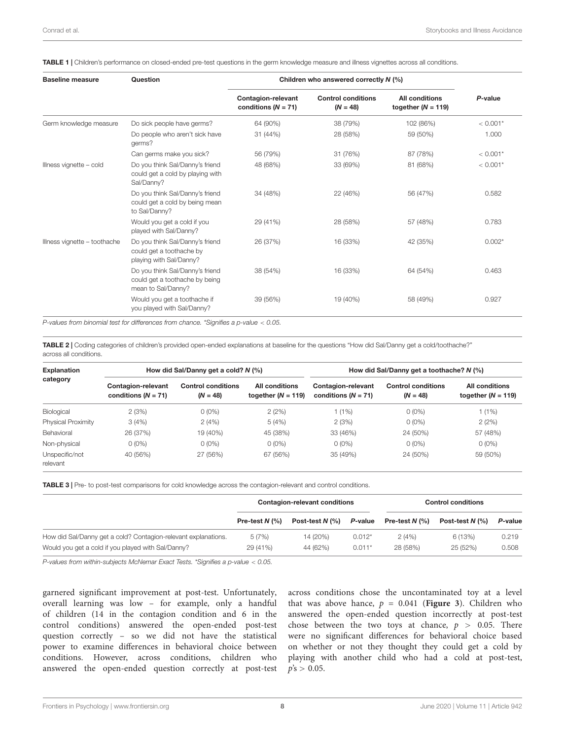<span id="page-7-0"></span>TABLE 1 | Children's performance on closed-ended pre-test questions in the germ knowledge measure and illness vignettes across all conditions.

| <b>Baseline measure</b>      | Question                                                                                | Children who answered correctly N (%)       |                                         |                                               |                                                                                                 |
|------------------------------|-----------------------------------------------------------------------------------------|---------------------------------------------|-----------------------------------------|-----------------------------------------------|-------------------------------------------------------------------------------------------------|
|                              |                                                                                         | Contagion-relevant<br>conditions $(N = 71)$ | <b>Control conditions</b><br>$(N = 48)$ | <b>All conditions</b><br>together $(N = 119)$ | P-value                                                                                         |
| Germ knowledge measure       | Do sick people have germs?                                                              | 64 (90%)                                    | 38 (79%)                                | 102 (86%)                                     | $< 0.001*$<br>1.000<br>$< 0.001*$<br>$< 0.001*$<br>0.582<br>0.783<br>$0.002*$<br>0.463<br>0.927 |
|                              | Do people who aren't sick have<br>germs?                                                | 31 (44%)                                    | 28 (58%)                                | 59 (50%)                                      |                                                                                                 |
|                              | Can germs make you sick?                                                                | 56 (79%)                                    | 31 (76%)                                | 87 (78%)                                      |                                                                                                 |
| Illness vignette - cold      | Do you think Sal/Danny's friend<br>could get a cold by playing with<br>Sal/Danny?       | 48 (68%)                                    | 33 (69%)                                | 81 (68%)                                      |                                                                                                 |
|                              | Do you think Sal/Danny's friend<br>could get a cold by being mean<br>to Sal/Danny?      | 34 (48%)                                    | 22 (46%)                                | 56 (47%)                                      |                                                                                                 |
|                              | Would you get a cold if you<br>played with Sal/Danny?                                   | 29 (41%)                                    | 28 (58%)                                | 57 (48%)                                      |                                                                                                 |
| Illness vignette - toothache | Do you think Sal/Danny's friend<br>could get a toothache by<br>playing with Sal/Danny?  | 26 (37%)                                    | 16 (33%)                                | 42 (35%)                                      |                                                                                                 |
|                              | Do you think Sal/Danny's friend<br>could get a toothache by being<br>mean to Sal/Danny? | 38 (54%)                                    | 16 (33%)                                | 64 (54%)                                      |                                                                                                 |
|                              | Would you get a toothache if<br>you played with Sal/Danny?                              | 39 (56%)                                    | 19 (40%)                                | 58 (49%)                                      |                                                                                                 |

P-values from binomial test for differences from chance. \*Signifies a p-value < 0.05.

<span id="page-7-1"></span>TABLE 2 | Coding categories of children's provided open-ended explanations at baseline for the questions "How did Sal/Danny get a cold/toothache?" across all conditions.

| <b>Explanation</b><br>category | How did Sal/Danny get a cold? $N$ (%)       |                                         |                                               | How did Sal/Danny get a toothache? $N$ (%)  |                                         |                                               |  |
|--------------------------------|---------------------------------------------|-----------------------------------------|-----------------------------------------------|---------------------------------------------|-----------------------------------------|-----------------------------------------------|--|
|                                | Contagion-relevant<br>conditions $(N = 71)$ | <b>Control conditions</b><br>$(N = 48)$ | <b>All conditions</b><br>together $(N = 119)$ | Contagion-relevant<br>conditions $(N = 71)$ | <b>Control conditions</b><br>$(N = 48)$ | <b>All conditions</b><br>together $(N = 119)$ |  |
| Biological                     | 2(3%)                                       | $0(0\%)$                                | 2(2%)                                         | $(1\%)$                                     | $0(0\%)$                                | 1(1%)                                         |  |
| Physical Proximity             | 3(4%)                                       | 2(4%)                                   | 5(4%)                                         | 2(3%)                                       | $0(0\%)$                                | 2(2%)                                         |  |
| Behavioral                     | 26 (37%)                                    | 19 (40%)                                | 45 (38%)                                      | 33 (46%)                                    | 24 (50%)                                | 57 (48%)                                      |  |
| Non-physical                   | $0(0\%)$                                    | $0(0\%)$                                | $0(0\%)$                                      | $0(0\%)$                                    | $0(0\%)$                                | $0(0\%)$                                      |  |
| Unspecific/not<br>relevant     | 40 (56%)                                    | 27 (56%)                                | 67 (56%)                                      | 35 (49%)                                    | 24 (50%)                                | 59 (50%)                                      |  |

<span id="page-7-2"></span>TABLE 3 | Pre- to post-test comparisons for cold knowledge across the contagion-relevant and control conditions.

|                                                                | Contagion-relevant conditions |                                  |          | <b>Control conditions</b> |                                  |         |
|----------------------------------------------------------------|-------------------------------|----------------------------------|----------|---------------------------|----------------------------------|---------|
|                                                                | Pre-test $N$ (%)              | Post-test $N$ $\left(\% \right)$ | P-value  | Pre-test $N$ (%)          | Post-test $N$ $\left(\% \right)$ | P-value |
| How did Sal/Danny get a cold? Contagion-relevant explanations. | 5(7%)                         | 14 (20%)                         | $0.012*$ | 2(4%)                     | 6(13%)                           | 0.219   |
| Would you get a cold if you played with Sal/Danny?             | 29 (41%)                      | 44 (62%)                         | $0.011*$ | 28 (58%)                  | 25 (52%)                         | 0.508   |

P-values from within-subjects McNemar Exact Tests. \*Signifies a p-value < 0.05.

garnered significant improvement at post-test. Unfortunately, overall learning was low – for example, only a handful of children (14 in the contagion condition and 6 in the control conditions) answered the open-ended post-test question correctly – so we did not have the statistical power to examine differences in behavioral choice between conditions. However, across conditions, children who answered the open-ended question correctly at post-test

across conditions chose the uncontaminated toy at a level that was above hance,  $p = 0.041$  ([Figure 3](#page-8-0)). Children who answered the open-ended question incorrectly at post-test chose between the two toys at chance,  $p > 0.05$ . There were no significant differences for behavioral choice based on whether or not they thought they could get a cold by playing with another child who had a cold at post-test,  $p's > 0.05$ .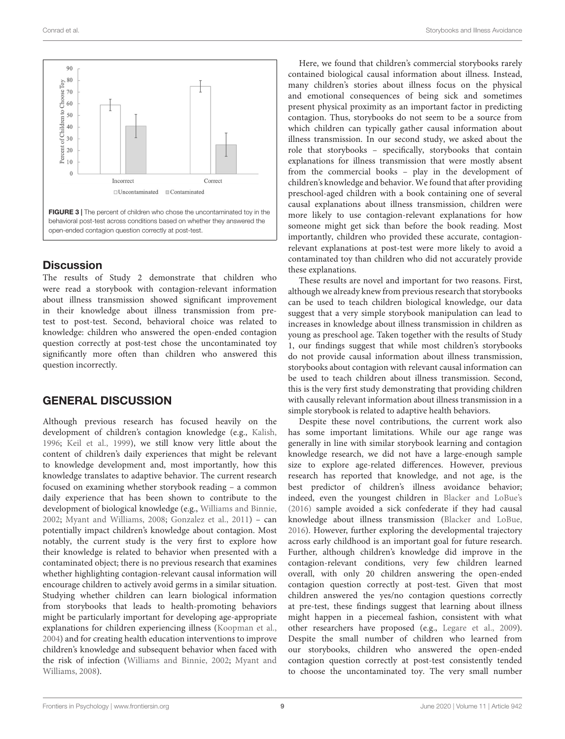

# <span id="page-8-0"></span>**Discussion**

The results of Study 2 demonstrate that children who were read a storybook with contagion-relevant information about illness transmission showed significant improvement in their knowledge about illness transmission from pretest to post-test. Second, behavioral choice was related to knowledge: children who answered the open-ended contagion question correctly at post-test chose the uncontaminated toy significantly more often than children who answered this question incorrectly.

# GENERAL DISCUSSION

Although previous research has focused heavily on the development of children's contagion knowledge (e.g., [Kalish,](#page-10-3) [1996;](#page-10-3) [Keil et al.,](#page-10-5) [1999\)](#page-10-5), we still know very little about the content of children's daily experiences that might be relevant to knowledge development and, most importantly, how this knowledge translates to adaptive behavior. The current research focused on examining whether storybook reading – a common daily experience that has been shown to contribute to the development of biological knowledge (e.g., [Williams and Binnie,](#page-11-2) [2002;](#page-11-2) [Myant and Williams,](#page-10-30) [2008;](#page-10-30) [Gonzalez et al.,](#page-10-31) [2011\)](#page-10-31) – can potentially impact children's knowledge about contagion. Most notably, the current study is the very first to explore how their knowledge is related to behavior when presented with a contaminated object; there is no previous research that examines whether highlighting contagion-relevant causal information will encourage children to actively avoid germs in a similar situation. Studying whether children can learn biological information from storybooks that leads to health-promoting behaviors might be particularly important for developing age-appropriate explanations for children experiencing illness [\(Koopman et al.,](#page-10-32) [2004\)](#page-10-32) and for creating health education interventions to improve children's knowledge and subsequent behavior when faced with the risk of infection [\(Williams and Binnie,](#page-11-2) [2002;](#page-11-2) [Myant and](#page-10-30) [Williams,](#page-10-30) [2008\)](#page-10-30).

Here, we found that children's commercial storybooks rarely contained biological causal information about illness. Instead, many children's stories about illness focus on the physical and emotional consequences of being sick and sometimes present physical proximity as an important factor in predicting contagion. Thus, storybooks do not seem to be a source from which children can typically gather causal information about illness transmission. In our second study, we asked about the role that storybooks – specifically, storybooks that contain explanations for illness transmission that were mostly absent from the commercial books – play in the development of children's knowledge and behavior. We found that after providing preschool-aged children with a book containing one of several causal explanations about illness transmission, children were more likely to use contagion-relevant explanations for how someone might get sick than before the book reading. Most importantly, children who provided these accurate, contagionrelevant explanations at post-test were more likely to avoid a contaminated toy than children who did not accurately provide these explanations.

These results are novel and important for two reasons. First, although we already knew from previous research that storybooks can be used to teach children biological knowledge, our data suggest that a very simple storybook manipulation can lead to increases in knowledge about illness transmission in children as young as preschool age. Taken together with the results of Study 1, our findings suggest that while most children's storybooks do not provide causal information about illness transmission, storybooks about contagion with relevant causal information can be used to teach children about illness transmission. Second, this is the very first study demonstrating that providing children with causally relevant information about illness transmission in a simple storybook is related to adaptive health behaviors.

Despite these novel contributions, the current work also has some important limitations. While our age range was generally in line with similar storybook learning and contagion knowledge research, we did not have a large-enough sample size to explore age-related differences. However, previous research has reported that knowledge, and not age, is the best predictor of children's illness avoidance behavior; indeed, even the youngest children in [Blacker and LoBue's](#page-10-11) [\(2016\)](#page-10-11) sample avoided a sick confederate if they had causal knowledge about illness transmission [\(Blacker and LoBue,](#page-10-11) [2016\)](#page-10-11). However, further exploring the developmental trajectory across early childhood is an important goal for future research. Further, although children's knowledge did improve in the contagion-relevant conditions, very few children learned overall, with only 20 children answering the open-ended contagion question correctly at post-test. Given that most children answered the yes/no contagion questions correctly at pre-test, these findings suggest that learning about illness might happen in a piecemeal fashion, consistent with what other researchers have proposed (e.g., [Legare et al.,](#page-10-7) [2009\)](#page-10-7). Despite the small number of children who learned from our storybooks, children who answered the open-ended contagion question correctly at post-test consistently tended to choose the uncontaminated toy. The very small number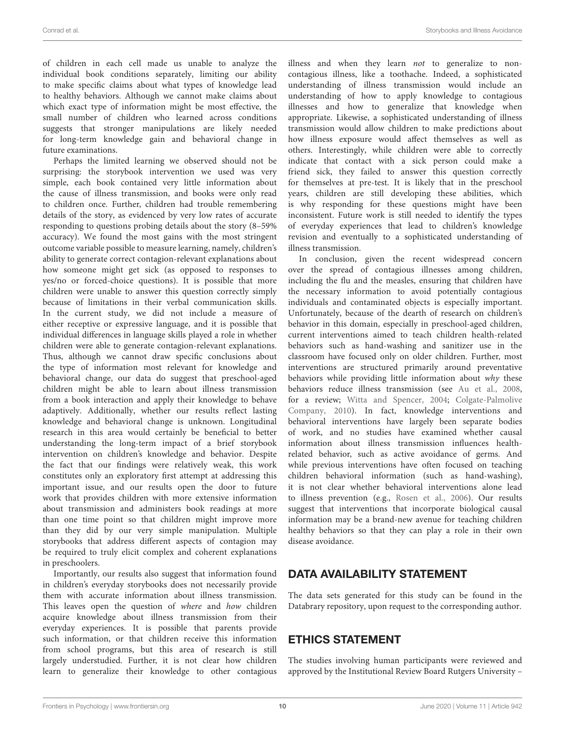of children in each cell made us unable to analyze the individual book conditions separately, limiting our ability to make specific claims about what types of knowledge lead to healthy behaviors. Although we cannot make claims about which exact type of information might be most effective, the small number of children who learned across conditions suggests that stronger manipulations are likely needed for long-term knowledge gain and behavioral change in future examinations.

Perhaps the limited learning we observed should not be surprising: the storybook intervention we used was very simple, each book contained very little information about the cause of illness transmission, and books were only read to children once. Further, children had trouble remembering details of the story, as evidenced by very low rates of accurate responding to questions probing details about the story (8–59% accuracy). We found the most gains with the most stringent outcome variable possible to measure learning, namely, children's ability to generate correct contagion-relevant explanations about how someone might get sick (as opposed to responses to yes/no or forced-choice questions). It is possible that more children were unable to answer this question correctly simply because of limitations in their verbal communication skills. In the current study, we did not include a measure of either receptive or expressive language, and it is possible that individual differences in language skills played a role in whether children were able to generate contagion-relevant explanations. Thus, although we cannot draw specific conclusions about the type of information most relevant for knowledge and behavioral change, our data do suggest that preschool-aged children might be able to learn about illness transmission from a book interaction and apply their knowledge to behave adaptively. Additionally, whether our results reflect lasting knowledge and behavioral change is unknown. Longitudinal research in this area would certainly be beneficial to better understanding the long-term impact of a brief storybook intervention on children's knowledge and behavior. Despite the fact that our findings were relatively weak, this work constitutes only an exploratory first attempt at addressing this important issue, and our results open the door to future work that provides children with more extensive information about transmission and administers book readings at more than one time point so that children might improve more than they did by our very simple manipulation. Multiple storybooks that address different aspects of contagion may be required to truly elicit complex and coherent explanations in preschoolers.

Importantly, our results also suggest that information found in children's everyday storybooks does not necessarily provide them with accurate information about illness transmission. This leaves open the question of where and how children acquire knowledge about illness transmission from their everyday experiences. It is possible that parents provide such information, or that children receive this information from school programs, but this area of research is still largely understudied. Further, it is not clear how children learn to generalize their knowledge to other contagious illness and when they learn not to generalize to noncontagious illness, like a toothache. Indeed, a sophisticated understanding of illness transmission would include an understanding of how to apply knowledge to contagious illnesses and how to generalize that knowledge when appropriate. Likewise, a sophisticated understanding of illness transmission would allow children to make predictions about how illness exposure would affect themselves as well as others. Interestingly, while children were able to correctly indicate that contact with a sick person could make a friend sick, they failed to answer this question correctly for themselves at pre-test. It is likely that in the preschool years, children are still developing these abilities, which is why responding for these questions might have been inconsistent. Future work is still needed to identify the types of everyday experiences that lead to children's knowledge revision and eventually to a sophisticated understanding of illness transmission.

In conclusion, given the recent widespread concern over the spread of contagious illnesses among children, including the flu and the measles, ensuring that children have the necessary information to avoid potentially contagious individuals and contaminated objects is especially important. Unfortunately, because of the dearth of research on children's behavior in this domain, especially in preschool-aged children, current interventions aimed to teach children health-related behaviors such as hand-washing and sanitizer use in the classroom have focused only on older children. Further, most interventions are structured primarily around preventative behaviors while providing little information about why these behaviors reduce illness transmission (see [Au et al.,](#page-10-33) [2008,](#page-10-33) for a review; [Witta and Spencer,](#page-11-3) [2004;](#page-11-3) [Colgate-Palmolive](#page-10-34) [Company,](#page-10-34) [2010\)](#page-10-34). In fact, knowledge interventions and behavioral interventions have largely been separate bodies of work, and no studies have examined whether causal information about illness transmission influences healthrelated behavior, such as active avoidance of germs. And while previous interventions have often focused on teaching children behavioral information (such as hand-washing), it is not clear whether behavioral interventions alone lead to illness prevention (e.g., [Rosen et al.,](#page-10-35) [2006\)](#page-10-35). Our results suggest that interventions that incorporate biological causal information may be a brand-new avenue for teaching children healthy behaviors so that they can play a role in their own disease avoidance.

# DATA AVAILABILITY STATEMENT

The data sets generated for this study can be found in the Databrary repository, upon request to the corresponding author.

# ETHICS STATEMENT

The studies involving human participants were reviewed and approved by the Institutional Review Board Rutgers University –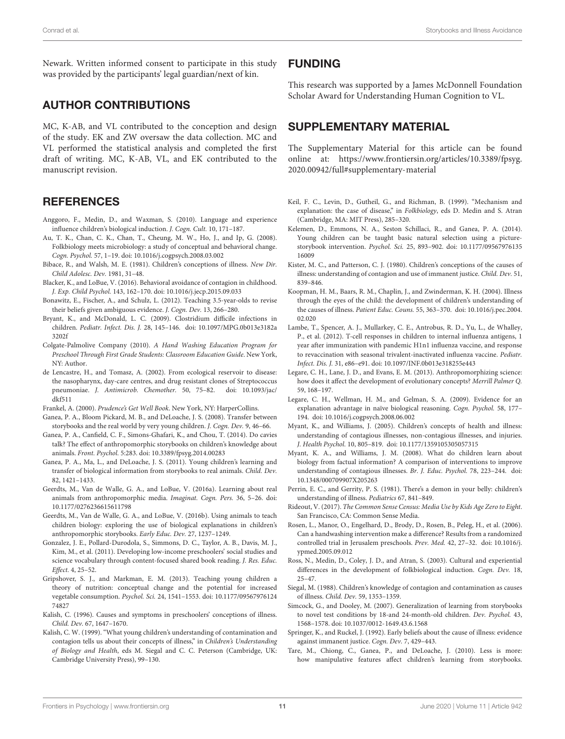Newark. Written informed consent to participate in this study was provided by the participants' legal guardian/next of kin.

# AUTHOR CONTRIBUTIONS

MC, K-AB, and VL contributed to the conception and design of the study. EK and ZW oversaw the data collection. MC and VL performed the statistical analysis and completed the first draft of writing. MC, K-AB, VL, and EK contributed to the manuscript revision.

# **REFERENCES**

- <span id="page-10-13"></span>Anggoro, F., Medin, D., and Waxman, S. (2010). Language and experience influence children's biological induction. J. Cogn. Cult. 10, 171–187.
- <span id="page-10-33"></span>Au, T. K., Chan, C. K., Chan, T., Cheung, M. W., Ho, J., and Ip, G. (2008). Folkbiology meets microbiology: a study of conceptual and behavioral change. Cogn. Psychol. 57, 1–19. [doi: 10.1016/j.cogpsych.2008.03.002](https://doi.org/10.1016/j.cogpsych.2008.03.002)
- <span id="page-10-21"></span>Bibace, R., and Walsh, M. E. (1981). Children's conceptions of illness. New Dir. Child Adolesc. Dev. 1981, 31–48.
- <span id="page-10-11"></span>Blacker, K., and LoBue, V. (2016). Behavioral avoidance of contagion in childhood. J. Exp. Child Psychol. 143, 162–170. [doi: 10.1016/j.jecp.2015.09.033](https://doi.org/10.1016/j.jecp.2015.09.033)
- <span id="page-10-29"></span>Bonawitz, E., Fischer, A., and Schulz, L. (2012). Teaching 3.5-year-olds to revise their beliefs given ambiguous evidence. J. Cogn. Dev. 13, 266–280.
- <span id="page-10-0"></span>Bryant, K., and McDonald, L. C. (2009). Clostridium difficile infections in children. Pediatr. Infect. Dis. J. 28, 145–146. [doi: 10.1097/MPG.0b013e3182a](https://doi.org/10.1097/MPG.0b013e3182a3202f) [3202f](https://doi.org/10.1097/MPG.0b013e3182a3202f)
- <span id="page-10-34"></span>Colgate-Palmolive Company (2010). A Hand Washing Education Program for Preschool Through First Grade Students: Classroom Education Guide. New York, NY: Author.
- <span id="page-10-2"></span>de Lencastre, H., and Tomasz, A. (2002). From ecological reservoir to disease: the nasopharynx, day-care centres, and drug resistant clones of Streptococcus pneumoniae. J. Antimicrob. Chemother. 50, 75–82. [doi: 10.1093/jac/](https://doi.org/10.1093/jac/dkf511) [dkf511](https://doi.org/10.1093/jac/dkf511)
- <span id="page-10-28"></span>Frankel, A. (2000). Prudence's Get Well Book. New York, NY: HarperCollins.
- <span id="page-10-24"></span>Ganea, P. A., Bloom Pickard, M. B., and DeLoache, J. S. (2008). Transfer between storybooks and the real world by very young children. J. Cogn. Dev. 9, 46–66.
- <span id="page-10-25"></span>Ganea, P. A., Canfield, C. F., Simons-Ghafari, K., and Chou, T. (2014). Do cavies talk? The effect of anthropomorphic storybooks on children's knowledge about animals. Front. Psychol. 5:283. [doi: 10.3389/fpsyg.2014.00283](https://doi.org/10.3389/fpsyg.2014.00283)
- <span id="page-10-15"></span>Ganea, P. A., Ma, L., and DeLoache, J. S. (2011). Young children's learning and transfer of biological information from storybooks to real animals. Child. Dev. 82, 1421–1433.
- <span id="page-10-16"></span>Geerdts, M., Van de Walle, G. A., and LoBue, V. (2016a). Learning about real animals from anthropomorphic media. Imaginat. Cogn. Pers. 36, 5–26. [doi:](https://doi.org/10.1177/0276236615611798) [10.1177/0276236615611798](https://doi.org/10.1177/0276236615611798)
- <span id="page-10-20"></span>Geerdts, M., Van de Walle, G. A., and LoBue, V. (2016b). Using animals to teach children biology: exploring the use of biological explanations in children's anthropomorphic storybooks. Early Educ. Dev. 27, 1237–1249.
- <span id="page-10-31"></span>Gonzalez, J. E., Pollard-Durodola, S., Simmons, D. C., Taylor, A. B., Davis, M. J., Kim, M., et al. (2011). Developing low-income preschoolers' social studies and science vocabulary through content-focused shared book reading. J. Res. Educ. Effect. 4, 25–52.
- <span id="page-10-19"></span>Gripshover, S. J., and Markman, E. M. (2013). Teaching young children a theory of nutrition: conceptual change and the potential for increased vegetable consumption. Psychol. Sci. 24, 1541–1553. [doi: 10.1177/09567976124](https://doi.org/10.1177/0956797612474827) [74827](https://doi.org/10.1177/0956797612474827)
- <span id="page-10-3"></span>Kalish, C. (1996). Causes and symptoms in preschoolers' conceptions of illness. Child. Dev. 67, 1647–1670.
- <span id="page-10-4"></span>Kalish, C. W. (1999). "What young children's understanding of contamination and contagion tells us about their concepts of illness," in Children's Understanding of Biology and Health, eds M. Siegal and C. C. Peterson (Cambridge, UK: Cambridge University Press), 99–130.

### FUNDING

This research was supported by a James McDonnell Foundation Scholar Award for Understanding Human Cognition to VL.

# <span id="page-10-23"></span>SUPPLEMENTARY MATERIAL

The Supplementary Material for this article can be found online at: [https://www.frontiersin.org/articles/10.3389/fpsyg.](https://www.frontiersin.org/articles/10.3389/fpsyg.2020.00942/full#supplementary-material) [2020.00942/full#supplementary-material](https://www.frontiersin.org/articles/10.3389/fpsyg.2020.00942/full#supplementary-material)

- <span id="page-10-5"></span>Keil, F. C., Levin, D., Gutheil, G., and Richman, B. (1999). "Mechanism and explanation: the case of disease," in Folkbiology, eds D. Medin and S. Atran (Cambridge, MA: MIT Press), 285–320.
- <span id="page-10-18"></span>Kelemen, D., Emmons, N. A., Seston Schillaci, R., and Ganea, P. A. (2014). Young children can be taught basic natural selection using a picturestorybook intervention. Psychol. Sci. 25, 893–902. [doi: 10.1177/09567976135](https://doi.org/10.1177/0956797613516009) [16009](https://doi.org/10.1177/0956797613516009)
- <span id="page-10-10"></span>Kister, M. C., and Patterson, C. J. (1980). Children's conceptions of the causes of illness: understanding of contagion and use of immanent justice. Child. Dev. 51, 839–846.
- <span id="page-10-32"></span>Koopman, H. M., Baars, R. M., Chaplin, J., and Zwinderman, K. H. (2004). Illness through the eyes of the child: the development of children's understanding of the causes of illness. Patient Educ. Couns. 55, 363–370. [doi: 10.1016/j.pec.2004.](https://doi.org/10.1016/j.pec.2004.02.020) [02.020](https://doi.org/10.1016/j.pec.2004.02.020)
- <span id="page-10-1"></span>Lambe, T., Spencer, A. J., Mullarkey, C. E., Antrobus, R. D., Yu, L., de Whalley, P., et al. (2012). T-cell responses in children to internal influenza antigens, 1 year after immunization with pandemic H1n1 influenza vaccine, and response to revaccination with seasonal trivalent-inactivated influenza vaccine. Pediatr. Infect. Dis. J. 31, e86–e91. [doi: 10.1097/INF.0b013e318255e443](https://doi.org/10.1097/INF.0b013e318255e443)
- <span id="page-10-17"></span>Legare, C. H., Lane, J. D., and Evans, E. M. (2013). Anthropomorphizing science: how does it affect the development of evolutionary concepts? Merrill Palmer Q. 59, 168–197.
- <span id="page-10-7"></span>Legare, C. H., Wellman, H. M., and Gelman, S. A. (2009). Evidence for an explanation advantage in naïve biological reasoning. Cogn. Psychol. 58, 177– 194. [doi: 10.1016/j.cogpsych.2008.06.002](https://doi.org/10.1016/j.cogpsych.2008.06.002)
- <span id="page-10-6"></span>Myant, K., and Williams, J. (2005). Children's concepts of health and illness: understanding of contagious illnesses, non-contagious illnesses, and injuries. J. Health Psychol. 10, 805–819. [doi: 10.1177/1359105305057315](https://doi.org/10.1177/1359105305057315)
- <span id="page-10-30"></span>Myant, K. A., and Williams, J. M. (2008). What do children learn about biology from factual information? A comparison of interventions to improve understanding of contagious illnesses. Br. J. Educ. Psychol. 78, 223–244. [doi:](https://doi.org/10.1348/000709907X205263) [10.1348/000709907X205263](https://doi.org/10.1348/000709907X205263)
- <span id="page-10-22"></span>Perrin, E. C., and Gerrity, P. S. (1981). There's a demon in your belly: children's understanding of illness. Pediatrics 67, 841–849.
- <span id="page-10-14"></span>Rideout, V. (2017). The Common Sense Census: Media Use by Kids Age Zero to Eight. San Francisco, CA: Common Sense Media.
- <span id="page-10-35"></span>Rosen, L., Manor, O., Engelhard, D., Brody, D., Rosen, B., Peleg, H., et al. (2006). Can a handwashing intervention make a difference? Results from a randomized controlled trial in Jerusalem preschools. Prev. Med. 42, 27–32. [doi: 10.1016/j.](https://doi.org/10.1016/j.ypmed.2005.09.012) [ypmed.2005.09.012](https://doi.org/10.1016/j.ypmed.2005.09.012)
- <span id="page-10-12"></span>Ross, N., Medin, D., Coley, J. D., and Atran, S. (2003). Cultural and experiential differences in the development of folkbiological induction. Cogn. Dev. 18, 25–47.
- <span id="page-10-8"></span>Siegal, M. (1988). Children's knowledge of contagion and contamination as causes of illness. Child. Dev. 59, 1353–1359.
- <span id="page-10-26"></span>Simcock, G., and Dooley, M. (2007). Generalization of learning from storybooks to novel test conditions by 18-and 24-month-old children. Dev. Psychol. 43, 1568–1578. [doi: 10.1037/0012-1649.43.6.1568](https://doi.org/10.1037/0012-1649.43.6.1568)
- <span id="page-10-9"></span>Springer, K., and Ruckel, J. (1992). Early beliefs about the cause of illness: evidence against immanent justice. Cogn. Dev. 7, 429–443.
- <span id="page-10-27"></span>Tare, M., Chiong, C., Ganea, P., and DeLoache, J. (2010). Less is more: how manipulative features affect children's learning from storybooks.